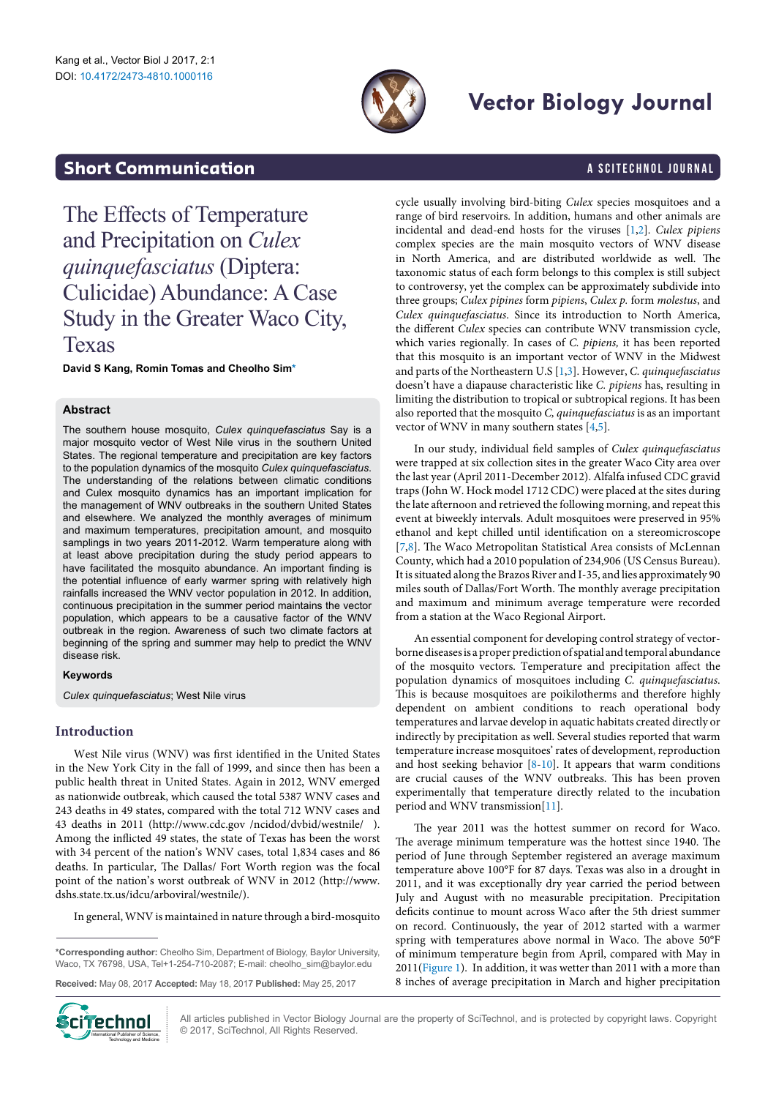

# **Vector Biology Journal**

# **Short Communication a** Scitechnol journal

The Effects of Temperature and Precipitation on *Culex quinquefasciatus* (Diptera: Culicidae) Abundance: A Case Study in the Greater Waco City, Texas

**David S Kang, Romin Tomas and Cheolho Si[m\\*](#page-0-0)**

### **Abstract**

The southern house mosquito, *Culex quinquefasciatus* Say is a major mosquito vector of West Nile virus in the southern United States. The regional temperature and precipitation are key factors to the population dynamics of the mosquito *Culex quinquefasciatus*. The understanding of the relations between climatic conditions and Culex mosquito dynamics has an important implication for the management of WNV outbreaks in the southern United States and elsewhere. We analyzed the monthly averages of minimum and maximum temperatures, precipitation amount, and mosquito samplings in two years 2011-2012. Warm temperature along with at least above precipitation during the study period appears to have facilitated the mosquito abundance. An important finding is the potential influence of early warmer spring with relatively high rainfalls increased the WNV vector population in 2012. In addition, continuous precipitation in the summer period maintains the vector population, which appears to be a causative factor of the WNV outbreak in the region. Awareness of such two climate factors at beginning of the spring and summer may help to predict the WNV disease risk.

### **Keywords**

*Culex quinquefasciatus*; West Nile virus

## **Introduction**

West Nile virus (WNV) was first identified in the United States in the New York City in the fall of 1999, and since then has been a public health threat in United States. Again in 2012, WNV emerged as nationwide outbreak, which caused the total 5387 WNV cases and 243 deaths in 49 states, compared with the total 712 WNV cases and 43 deaths in 2011 (http://www.cdc.gov /ncidod/dvbid/westnile/ ). Among the inflicted 49 states, the state of Texas has been the worst with 34 percent of the nation's WNV cases, total 1,834 cases and 86 deaths. In particular, The Dallas/ Fort Worth region was the focal point of the nation's worst outbreak of WNV in 2012 [\(http://www.](http://www.dshs.state.tx.us/idcu/arboviral/westnile/) [dshs.state.tx.us/idcu/arboviral/westnile/](http://www.dshs.state.tx.us/idcu/arboviral/westnile/)).

In general, WNV is maintained in nature through a bird-mosquito

**Received:** May 08, 2017 **Accepted:** May 18, 2017 **Published:** May 25, 2017



All articles published in Vector Biology Journal are the property of SciTechnol, and is protected by copyright laws. Copyright © 2017, SciTechnol, All Rights Reserved.

cycle usually involving bird-biting *Culex* species mosquitoes and a range of bird reservoirs. In addition, humans and other animals are incidental and dead-end hosts for the viruses [\[1,](#page-2-0)[2](#page-2-1)]. *Culex pipiens*  complex species are the main mosquito vectors of WNV disease in North America, and are distributed worldwide as well. The taxonomic status of each form belongs to this complex is still subject to controversy, yet the complex can be approximately subdivide into three groups; *Culex pipines* form *pipiens*, *Culex p.* form *molestus*, and *Culex quinquefasciatus*. Since its introduction to North America, the different *Culex* species can contribute WNV transmission cycle, which varies regionally. In cases of *C. pipiens,* it has been reported that this mosquito is an important vector of WNV in the Midwest and parts of the Northeastern U.S [[1](#page-2-0)[,3\]](#page-2-2). However, *C. quinquefasciatus* doesn't have a diapause characteristic like *C. pipiens* has, resulting in limiting the distribution to tropical or subtropical regions. It has been also reported that the mosquito *C, quinquefasciatus* is as an important vector of WNV in many southern states [\[4,](#page-2-3)[5](#page-2-4)].

In our study, individual field samples of *Culex quinquefasciatus* were trapped at six collection sites in the greater Waco City area over the last year (April 2011-December 2012). Alfalfa infused CDC gravid traps (John W. Hock model 1712 CDC) were placed at the sites during the late afternoon and retrieved the following morning, and repeat this event at biweekly intervals. Adult mosquitoes were preserved in 95% ethanol and kept chilled until identification on a stereomicroscope [[7](#page-2-5)[,8](#page-2-6)]. The Waco Metropolitan Statistical Area consists of McLennan County, which had a 2010 population of 234,906 (US Census Bureau). It is situated along the Brazos River and I-35, and lies approximately 90 miles south of Dallas/Fort Worth. The monthly average precipitation and maximum and minimum average temperature were recorded from a station at the Waco Regional Airport.

An essential component for developing control strategy of vectorborne diseases is a proper prediction of spatial and temporal abundance of the mosquito vectors. Temperature and precipitation affect the population dynamics of mosquitoes including *C. quinquefasciatus*. This is because mosquitoes are poikilotherms and therefore highly dependent on ambient conditions to reach operational body temperatures and larvae develop in aquatic habitats created directly or indirectly by precipitation as well. Several studies reported that warm temperature increase mosquitoes' rates of development, reproduction and host seeking behavior [[8](#page-2-6)[-10\]](#page-2-7). It appears that warm conditions are crucial causes of the WNV outbreaks. This has been proven experimentally that temperature directly related to the incubation period and WNV transmission[\[11](#page-2-8)].

The year 2011 was the hottest summer on record for Waco. The average minimum temperature was the hottest since 1940. The period of June through September registered an average maximum temperature above 100°F for 87 days. Texas was also in a drought in 2011, and it was exceptionally dry year carried the period between July and August with no measurable precipitation. Precipitation deficits continue to mount across Waco after the 5th driest summer on record. Continuously, the year of 2012 started with a warmer spring with temperatures above normal in Waco. The above 50°F of minimum temperature begin from April, compared with May in 2011[\(Figure 1](#page-1-0)). In addition, it was wetter than 2011 with a more than 8 inches of average precipitation in March and higher precipitation

<span id="page-0-0"></span>**<sup>\*</sup>Corresponding author:** Cheolho Sim, Department of Biology, Baylor University, Waco, TX 76798, USA, Tel+1-254-710-2087; E-mail: cheolho\_sim@baylor.edu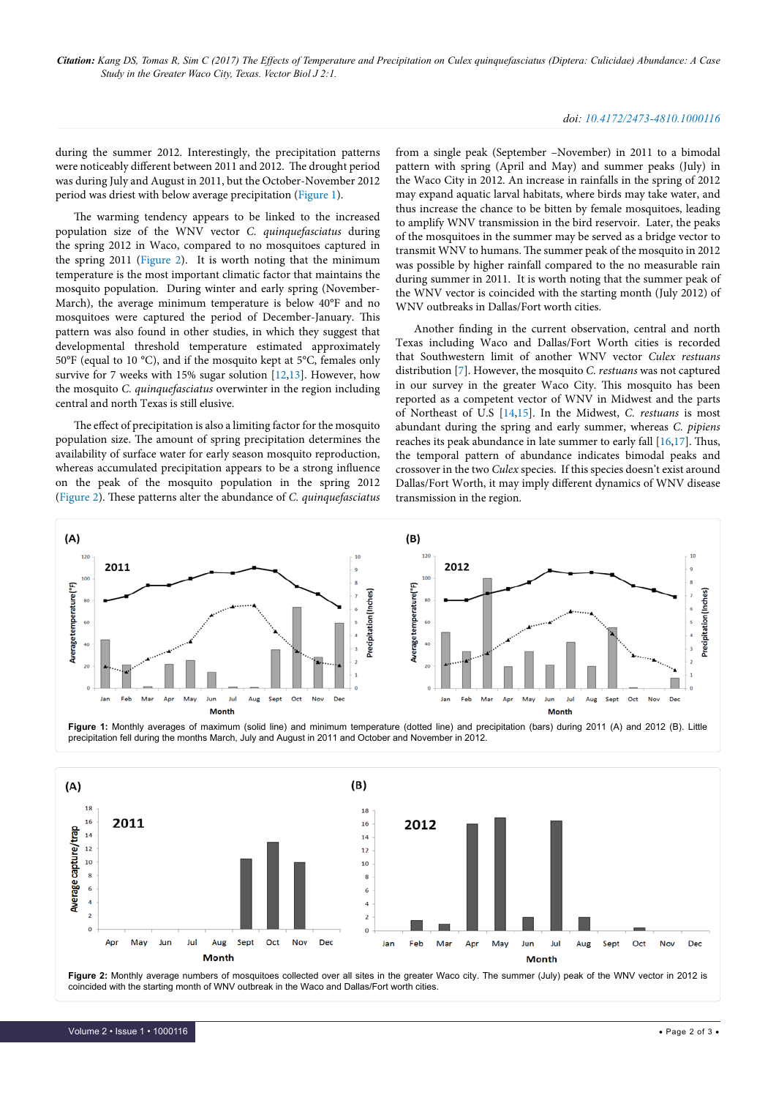*Citation: Kang DS, Tomas R, Sim C (2017) The Effects of Temperature and Precipitation on Culex quinquefasciatus (Diptera: Culicidae) Abundance: A Case Study in the Greater Waco City, Texas. Vector Biol J 2:1.*

#### *doi: 10.4172/2473-4810.1000116*

during the summer 2012. Interestingly, the precipitation patterns were noticeably different between 2011 and 2012. The drought period was during July and August in 2011, but the October-November 2012 period was driest with below average precipitation ([Figure 1](#page-1-0)).

The warming tendency appears to be linked to the increased population size of the WNV vector *C. quinquefasciatus* during the spring 2012 in Waco, compared to no mosquitoes captured in the spring 2011 ([Figure 2\)](#page-1-1). It is worth noting that the minimum temperature is the most important climatic factor that maintains the mosquito population. During winter and early spring (November-March), the average minimum temperature is below 40°F and no mosquitoes were captured the period of December-January. This pattern was also found in other studies, in which they suggest that developmental threshold temperature estimated approximately 50°F (equal to 10 °C), and if the mosquito kept at 5°C, females only survive for 7 weeks with 15% sugar solution [\[12,](#page-2-9)[13](#page-2-10)]. However, how the mosquito *C. quinquefasciatus* overwinter in the region including central and north Texas is still elusive.

The effect of precipitation is also a limiting factor for the mosquito population size. The amount of spring precipitation determines the availability of surface water for early season mosquito reproduction, whereas accumulated precipitation appears to be a strong influence on the peak of the mosquito population in the spring 2012 ([Figure 2\)](#page-1-1). These patterns alter the abundance of *C. quinquefasciatus* from a single peak (September –November) in 2011 to a bimodal pattern with spring (April and May) and summer peaks (July) in the Waco City in 2012. An increase in rainfalls in the spring of 2012 may expand aquatic larval habitats, where birds may take water, and thus increase the chance to be bitten by female mosquitoes, leading to amplify WNV transmission in the bird reservoir. Later, the peaks of the mosquitoes in the summer may be served as a bridge vector to transmit WNV to humans. The summer peak of the mosquito in 2012 was possible by higher rainfall compared to the no measurable rain during summer in 2011. It is worth noting that the summer peak of the WNV vector is coincided with the starting month (July 2012) of WNV outbreaks in Dallas/Fort worth cities.

Another finding in the current observation, central and north Texas including Waco and Dallas/Fort Worth cities is recorded that Southwestern limit of another WNV vector *Culex restuans* distribution [[7](#page-2-5)]. However, the mosquito *C. restuans* was not captured in our survey in the greater Waco City. This mosquito has been reported as a competent vector of WNV in Midwest and the parts of Northeast of U.S [\[14,](#page-2-11)[15\]](#page-2-12). In the Midwest, *C. restuans* is most abundant during the spring and early summer, whereas *C. pipiens* reaches its peak abundance in late summer to early fall [\[16](#page-2-13)[,17\]](#page-2-14). Thus, the temporal pattern of abundance indicates bimodal peaks and crossover in the two *Culex* species. If this species doesn't exist around Dallas/Fort Worth, it may imply different dynamics of WNV disease transmission in the region.

<span id="page-1-0"></span>

<span id="page-1-1"></span>

**Figure 2:** Monthly average numbers of mosquitoes collected over all sites in the greater Waco city. The summer (July) peak of the WNV vector in 2012 is coincided with the starting month of WNV outbreak in the Waco and Dallas/Fort worth cities.